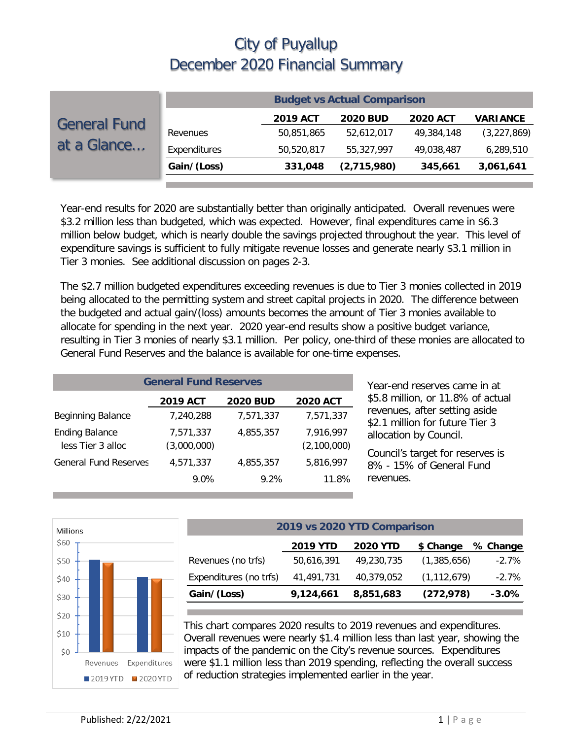|                                    | <b>Budget vs Actual Comparison</b> |                 |                 |                 |                 |  |
|------------------------------------|------------------------------------|-----------------|-----------------|-----------------|-----------------|--|
| <b>General Fund</b><br>at a Glance |                                    | <b>2019 ACT</b> | <b>2020 BUD</b> | <b>2020 ACT</b> | <b>VARIANCE</b> |  |
|                                    | Revenues                           | 50,851,865      | 52,612,017      | 49,384,148      | (3,227,869)     |  |
|                                    | Expenditures                       | 50,520,817      | 55,327,997      | 49,038,487      | 6,289,510       |  |
|                                    | Gain/(Loss)                        | 331,048         | (2,715,980)     | 345,661         | 3,061,641       |  |

Year-end results for 2020 are substantially better than originally anticipated. Overall revenues were \$3.2 million less than budgeted, which was expected. However, final expenditures came in \$6.3 million below budget, which is nearly double the savings projected throughout the year. This level of expenditure savings is sufficient to fully mitigate revenue losses and generate nearly \$3.1 million in Tier 3 monies. See additional discussion on pages 2-3.

The \$2.7 million budgeted expenditures exceeding revenues is due to Tier 3 monies collected in 2019 being allocated to the permitting system and street capital projects in 2020. The difference between the budgeted and actual gain/(loss) amounts becomes the amount of Tier 3 monies available to allocate for spending in the next year. 2020 year-end results show a positive budget variance, resulting in Tier 3 monies of nearly \$3.1 million. Per policy, one-third of these monies are allocated to General Fund Reserves and the balance is available for one-time expenses.

| <b>General Fund Reserves</b>               |                          |                 |                          |  |  |  |
|--------------------------------------------|--------------------------|-----------------|--------------------------|--|--|--|
|                                            | <b>2019 ACT</b>          | <b>2020 BUD</b> | <b>2020 ACT</b>          |  |  |  |
| Beginning Balance                          | 7,240,288                | 7,571,337       | 7,571,337                |  |  |  |
| <b>Ending Balance</b><br>less Tier 3 alloc | 7,571,337<br>(3,000,000) | 4,855,357       | 7,916,997<br>(2,100,000) |  |  |  |
| <b>General Fund Reserves</b>               | 4,571,337                | 4.855.357       | 5,816,997                |  |  |  |
|                                            | 9.0%                     | 9.2%            | 11.8%                    |  |  |  |

Year-end reserves came in at \$5.8 million, or 11.8% of actual revenues, after setting aside \$2.1 million for future Tier 3 allocation by Council.

Council's target for reserves is 8% - 15% of General Fund revenues.



| 2019 vs 2020 YTD Comparison                                 |            |               |          |  |  |  |  |
|-------------------------------------------------------------|------------|---------------|----------|--|--|--|--|
| <b>2019 YTD</b><br><b>2020 YTD</b><br>\$ Change<br>% Change |            |               |          |  |  |  |  |
| 50,616,391                                                  | 49,230,735 | (1,385,656)   | $-2.7\%$ |  |  |  |  |
| 41,491,731                                                  | 40,379,052 | (1, 112, 679) | $-2.7\%$ |  |  |  |  |
| 9,124,661                                                   | 8,851,683  | (272, 978)    | $-3.0\%$ |  |  |  |  |
|                                                             |            |               |          |  |  |  |  |

This chart compares 2020 results to 2019 revenues and expenditures. Overall revenues were nearly \$1.4 million less than last year, showing the impacts of the pandemic on the City's revenue sources. Expenditures were \$1.1 million less than 2019 spending, reflecting the overall success of reduction strategies implemented earlier in the year.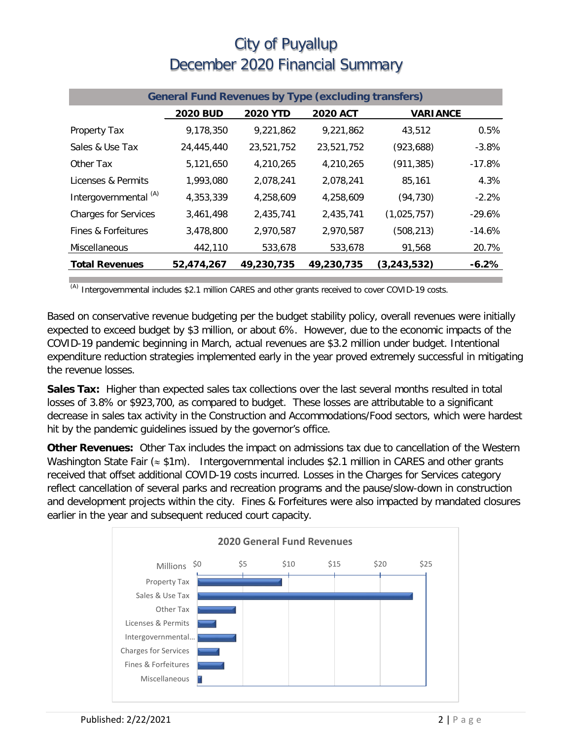| <b>General Fund Revenues by Type (excluding transfers)</b> |                 |                 |                 |                 |          |  |
|------------------------------------------------------------|-----------------|-----------------|-----------------|-----------------|----------|--|
|                                                            | <b>2020 BUD</b> | <b>2020 YTD</b> | <b>2020 ACT</b> | <b>VARIANCE</b> |          |  |
| Property Tax                                               | 9,178,350       | 9,221,862       | 9,221,862       | 43,512          | 0.5%     |  |
| Sales & Use Tax                                            | 24,445,440      | 23,521,752      | 23,521,752      | (923, 688)      | $-3.8%$  |  |
| Other Tax                                                  | 5,121,650       | 4,210,265       | 4,210,265       | (911, 385)      | $-17.8%$ |  |
| Licenses & Permits                                         | 1,993,080       | 2,078,241       | 2,078,241       | 85,161          | 4.3%     |  |
| Intergovernmental <sup>(A)</sup>                           | 4,353,339       | 4,258,609       | 4,258,609       | (94, 730)       | $-2.2%$  |  |
| <b>Charges for Services</b>                                | 3,461,498       | 2,435,741       | 2,435,741       | (1,025,757)     | $-29.6%$ |  |
| Fines & Forfeitures                                        | 3,478,800       | 2,970,587       | 2,970,587       | (508, 213)      | $-14.6%$ |  |
| Miscellaneous                                              | 442,110         | 533,678         | 533,678         | 91,568          | 20.7%    |  |
| <b>Total Revenues</b>                                      | 52,474,267      | 49,230,735      | 49,230,735      | (3, 243, 532)   | $-6.2\%$ |  |

 $(A)$  Intergovernmental includes \$2.1 million CARES and other grants received to cover COVID-19 costs.

Based on conservative revenue budgeting per the budget stability policy, overall revenues were initially expected to exceed budget by \$3 million, or about 6%. However, due to the economic impacts of the COVID-19 pandemic beginning in March, actual revenues are \$3.2 million under budget. Intentional expenditure reduction strategies implemented early in the year proved extremely successful in mitigating the revenue losses.

**Sales Tax:** Higher than expected sales tax collections over the last several months resulted in total losses of 3.8% or \$923,700, as compared to budget. These losses are attributable to a significant decrease in sales tax activity in the Construction and Accommodations/Food sectors, which were hardest hit by the pandemic guidelines issued by the governor's office.

**Other Revenues:** Other Tax includes the impact on admissions tax due to cancellation of the Western Washington State Fair (≈ \$1m). Intergovernmental includes \$2.1 million in CARES and other grants received that offset additional COVID-19 costs incurred. Losses in the Charges for Services category reflect cancellation of several parks and recreation programs and the pause/slow-down in construction and development projects within the city. Fines & Forfeitures were also impacted by mandated closures earlier in the year and subsequent reduced court capacity.

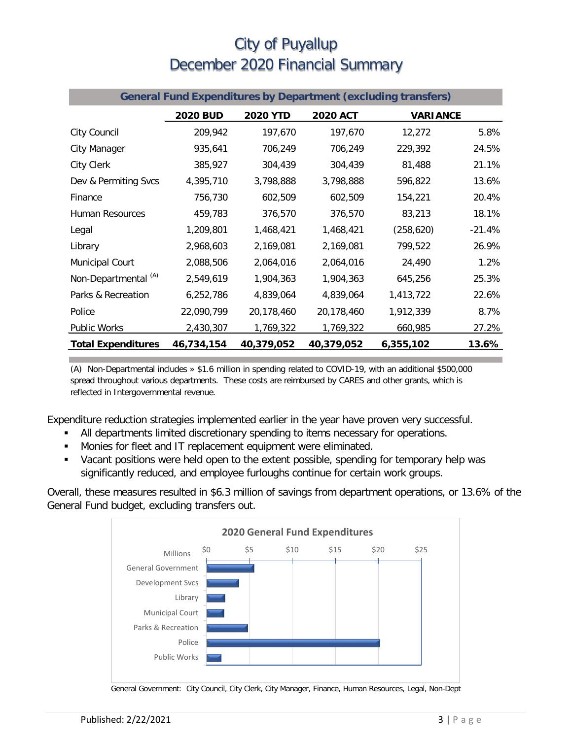| <b>General Fund Expenditures by Department (excluding transfers)</b> |                 |                 |                 |                 |          |  |
|----------------------------------------------------------------------|-----------------|-----------------|-----------------|-----------------|----------|--|
|                                                                      | <b>2020 BUD</b> | <b>2020 YTD</b> | <b>2020 ACT</b> | <b>VARIANCE</b> |          |  |
| City Council                                                         | 209,942         | 197,670         | 197,670         | 12,272          | 5.8%     |  |
| City Manager                                                         | 935,641         | 706,249         | 706,249         | 229,392         | 24.5%    |  |
| City Clerk                                                           | 385,927         | 304,439         | 304,439         | 81,488          | 21.1%    |  |
| Dev & Permiting Svcs                                                 | 4,395,710       | 3,798,888       | 3,798,888       | 596,822         | 13.6%    |  |
| Finance                                                              | 756,730         | 602,509         | 602,509         | 154,221         | 20.4%    |  |
| Human Resources                                                      | 459,783         | 376,570         | 376,570         | 83,213          | 18.1%    |  |
| Legal                                                                | 1,209,801       | 1,468,421       | 1,468,421       | (258, 620)      | $-21.4%$ |  |
| Library                                                              | 2,968,603       | 2,169,081       | 2,169,081       | 799,522         | 26.9%    |  |
| Municipal Court                                                      | 2,088,506       | 2,064,016       | 2,064,016       | 24,490          | 1.2%     |  |
| Non-Departmental <sup>(A)</sup>                                      | 2,549,619       | 1,904,363       | 1,904,363       | 645,256         | 25.3%    |  |
| Parks & Recreation                                                   | 6,252,786       | 4,839,064       | 4,839,064       | 1,413,722       | 22.6%    |  |
| Police                                                               | 22,090,799      | 20,178,460      | 20,178,460      | 1,912,339       | 8.7%     |  |
| <b>Public Works</b>                                                  | 2,430,307       | 1,769,322       | 1,769,322       | 660,985         | 27.2%    |  |
| <b>Total Expenditures</b>                                            | 46,734,154      | 40,379,052      | 40,379,052      | 6,355,102       | 13.6%    |  |

(A) Non-Departmental includes » \$1.6 million in spending related to COVID-19, with an additional \$500,000 spread throughout various departments. These costs are reimbursed by CARES and other grants, which is reflected in Intergovernmental revenue.

Expenditure reduction strategies implemented earlier in the year have proven very successful.

- All departments limited discretionary spending to items necessary for operations.
- **Monies for fleet and IT replacement equipment were eliminated.**
- Vacant positions were held open to the extent possible, spending for temporary help was significantly reduced, and employee furloughs continue for certain work groups.

Overall, these measures resulted in \$6.3 million of savings from department operations, or 13.6% of the General Fund budget, excluding transfers out.



General Government: City Council, City Clerk, City Manager, Finance, Human Resources, Legal, Non-Dept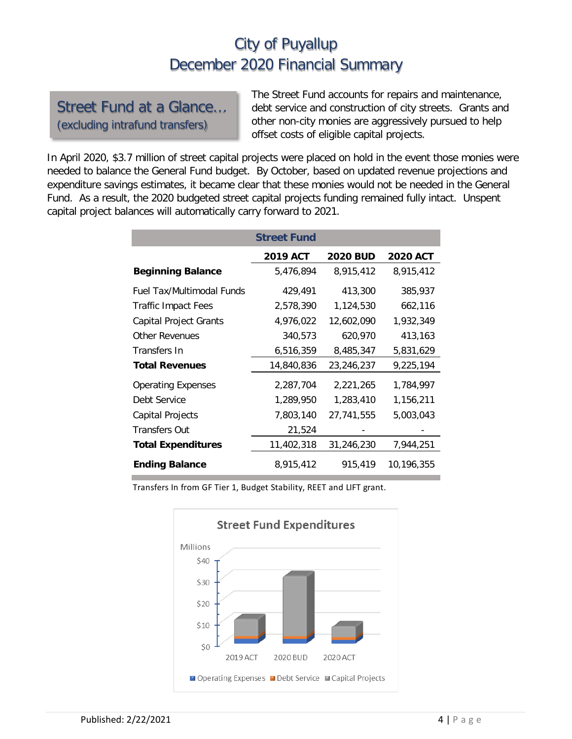#### Street Fund at a Glance… (excluding intrafund transfers)

The Street Fund accounts for repairs and maintenance, debt service and construction of city streets. Grants and other non-city monies are aggressively pursued to help offset costs of eligible capital projects.

In April 2020, \$3.7 million of street capital projects were placed on hold in the event those monies were needed to balance the General Fund budget. By October, based on updated revenue projections and expenditure savings estimates, it became clear that these monies would not be needed in the General Fund. As a result, the 2020 budgeted street capital projects funding remained fully intact. Unspent capital project balances will automatically carry forward to 2021.

|                           | <b>Street Fund</b> |                 |                 |
|---------------------------|--------------------|-----------------|-----------------|
|                           | <b>2019 ACT</b>    | <b>2020 BUD</b> | <b>2020 ACT</b> |
| <b>Beginning Balance</b>  | 5,476,894          | 8,915,412       | 8,915,412       |
| Fuel Tax/Multimodal Funds | 429,491            | 413,300         | 385,937         |
| Traffic Impact Fees       | 2,578,390          | 1,124,530       | 662,116         |
| Capital Project Grants    | 4,976,022          | 12,602,090      | 1,932,349       |
| <b>Other Revenues</b>     | 340,573            | 620,970         | 413,163         |
| Transfers In              | 6,516,359          | 8,485,347       | 5,831,629       |
| <b>Total Revenues</b>     | 14,840,836         | 23,246,237      | 9,225,194       |
| <b>Operating Expenses</b> | 2,287,704          | 2,221,265       | 1,784,997       |
| Debt Service              | 1,289,950          | 1,283,410       | 1,156,211       |
| Capital Projects          | 7,803,140          | 27,741,555      | 5,003,043       |
| <b>Transfers Out</b>      | 21,524             |                 |                 |
| <b>Total Expenditures</b> | 11,402,318         | 31,246,230      | 7,944,251       |
| <b>Ending Balance</b>     | 8,915,412          | 915,419         | 10,196,355      |

Transfers In from GF Tier 1, Budget Stability, REET and LIFT grant.

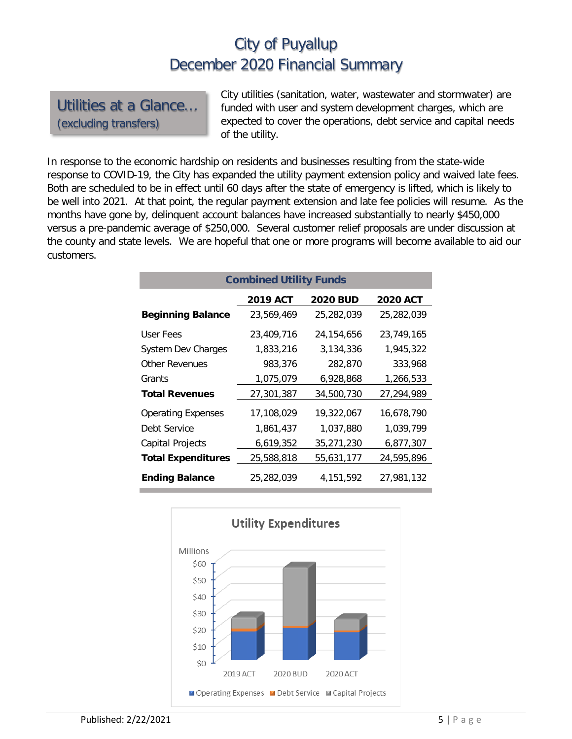Utilities at a Glance… (excluding transfers)

City utilities (sanitation, water, wastewater and stormwater) are funded with user and system development charges, which are expected to cover the operations, debt service and capital needs of the utility.

In response to the economic hardship on residents and businesses resulting from the state-wide response to COVID-19, the City has expanded the utility payment extension policy and waived late fees. Both are scheduled to be in effect until 60 days after the state of emergency is lifted, which is likely to be well into 2021. At that point, the regular payment extension and late fee policies will resume. As the months have gone by, delinquent account balances have increased substantially to nearly \$450,000 versus a pre-pandemic average of \$250,000. Several customer relief proposals are under discussion at the county and state levels. We are hopeful that one or more programs will become available to aid our customers.

| <b>Combined Utility Funds</b> |                 |                 |                 |  |  |  |  |
|-------------------------------|-----------------|-----------------|-----------------|--|--|--|--|
|                               | <b>2019 ACT</b> | <b>2020 BUD</b> | <b>2020 ACT</b> |  |  |  |  |
| <b>Beginning Balance</b>      | 23.569.469      | 25,282,039      | 25,282,039      |  |  |  |  |
| User Fees                     | 23.409.716      | 24, 154, 656    | 23,749,165      |  |  |  |  |
| System Dev Charges            | 1,833,216       | 3,134,336       | 1,945,322       |  |  |  |  |
| <b>Other Revenues</b>         | 983,376         | 282,870         | 333,968         |  |  |  |  |
| Grants                        | 1,075,079       | 6,928,868       | 1,266,533       |  |  |  |  |
| <b>Total Revenues</b>         | 27,301,387      | 34,500,730      | 27,294,989      |  |  |  |  |
| <b>Operating Expenses</b>     | 17,108,029      | 19,322,067      | 16.678.790      |  |  |  |  |
| Debt Service                  | 1,861,437       | 1,037,880       | 1,039,799       |  |  |  |  |
| Capital Projects              | 6,619,352       | 35,271,230      | 6,877,307       |  |  |  |  |
| <b>Total Expenditures</b>     | 25,588,818      | 55,631,177      | 24,595,896      |  |  |  |  |
| <b>Ending Balance</b>         | 25,282,039      | 4,151,592       | 27,981,132      |  |  |  |  |

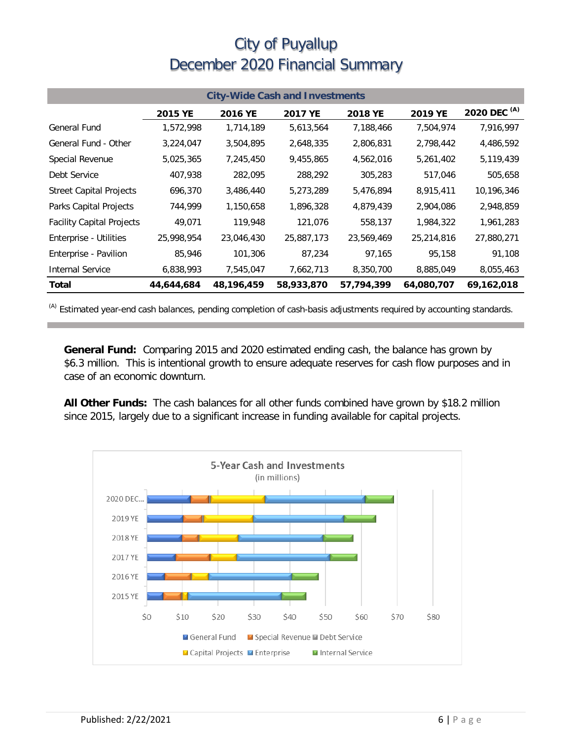| <b>City-Wide Cash and Investments</b> |            |            |            |            |            |                         |  |
|---------------------------------------|------------|------------|------------|------------|------------|-------------------------|--|
|                                       | 2015 YE    | 2016 YE    | 2017 YE    | 2018 YE    | 2019 YE    | 2020 DEC <sup>(A)</sup> |  |
| General Fund                          | 1,572,998  | 1,714,189  | 5,613,564  | 7,188,466  | 7,504,974  | 7,916,997               |  |
| General Fund - Other                  | 3,224,047  | 3,504,895  | 2,648,335  | 2,806,831  | 2,798,442  | 4,486,592               |  |
| Special Revenue                       | 5,025,365  | 7,245,450  | 9,455,865  | 4,562,016  | 5,261,402  | 5,119,439               |  |
| Debt Service                          | 407,938    | 282,095    | 288,292    | 305,283    | 517,046    | 505,658                 |  |
| <b>Street Capital Projects</b>        | 696,370    | 3,486,440  | 5,273,289  | 5,476,894  | 8,915,411  | 10,196,346              |  |
| Parks Capital Projects                | 744,999    | 1,150,658  | 1,896,328  | 4,879,439  | 2,904,086  | 2,948,859               |  |
| <b>Facility Capital Projects</b>      | 49,071     | 119,948    | 121,076    | 558,137    | 1,984,322  | 1,961,283               |  |
| Enterprise - Utilities                | 25,998,954 | 23,046,430 | 25,887,173 | 23,569,469 | 25,214,816 | 27,880,271              |  |
| Enterprise - Pavilion                 | 85,946     | 101,306    | 87,234     | 97,165     | 95,158     | 91,108                  |  |
| <b>Internal Service</b>               | 6,838,993  | 7,545,047  | 7,662,713  | 8,350,700  | 8,885,049  | 8,055,463               |  |
| Total                                 | 44,644,684 | 48,196,459 | 58,933,870 | 57,794,399 | 64,080,707 | 69,162,018              |  |

(A) Estimated year-end cash balances, pending completion of cash-basis adjustments required by accounting standards.

**General Fund:** Comparing 2015 and 2020 estimated ending cash, the balance has grown by \$6.3 million. This is intentional growth to ensure adequate reserves for cash flow purposes and in case of an economic downturn.

**All Other Funds:** The cash balances for all other funds combined have grown by \$18.2 million since 2015, largely due to a significant increase in funding available for capital projects.